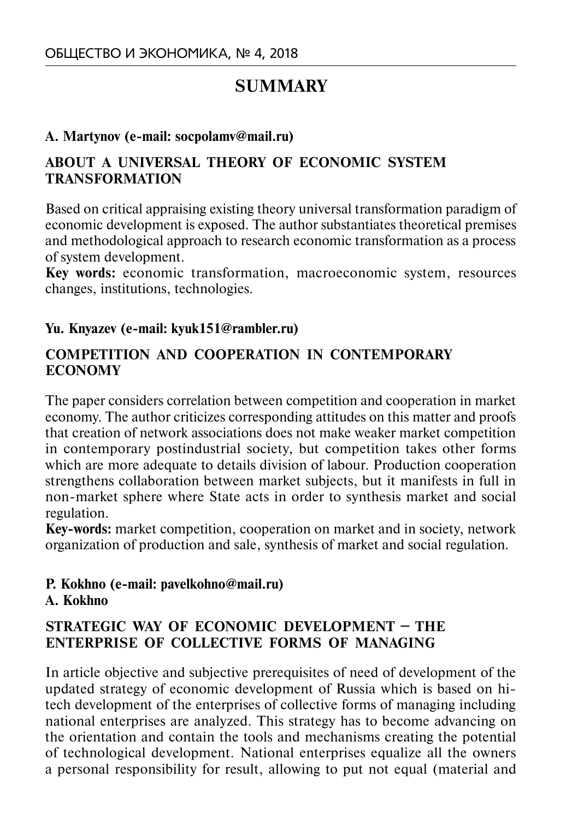# **SUMMARY**

### **A. Martynov (e-mail: socpolamv@mail.ru)**

### **ABOUT A UNIVERSAL THEORY OF ECONOMIC SYSTEM TRANSFORMATION**

Based on critical appraising existing theory universal transformation paradigm of economic development is exposed. The author substantiates theoretical premises and methodological approach to research economic transformation as a process of system development.

**Key words:** economic transformation, macroeconomic system, resources changes, institutions, technologies.

### **Yu. Knyazev (e-mail: kyuk151@rambler.ru)**

### **COMPETITION AND COOPERATION IN CONTEMPORARY ECONOMY**

The paper considers correlation between competition and cooperation in market economy. The author criticizes corresponding attitudes on this matter and proofs that creation of network associations does not make weaker market competition in contemporary postindustrial society, but competition takes other forms which are more adequate to details division of labour. Production cooperation strengthens collaboration between market subjects, but it manifests in full in non-market sphere where State acts in order to synthesis market and social regulation.

**Key-words:** market competition, cooperation on market and in society, network organization of production and sale, synthesis of market and social regulation.

### **P. Kokhno (e-mail: pavelkohno@mail.ru) A. Kokhno**

### **STRATEGIC WAY OF ECONOMIC DEVELOPMENT – THE ENTERPRISE OF COLLECTIVE FORMS OF MANAGING**

In article objective and subjective prerequisites of need of development of the updated strategy of economic development of Russia which is based on hitech development of the enterprises of collective forms of managing including national enterprises are analyzed. This strategy has to become advancing on the orientation and contain the tools and mechanisms creating the potential of technological development. National enterprises equalize all the owners a personal responsibility for result, allowing to put not equal (material and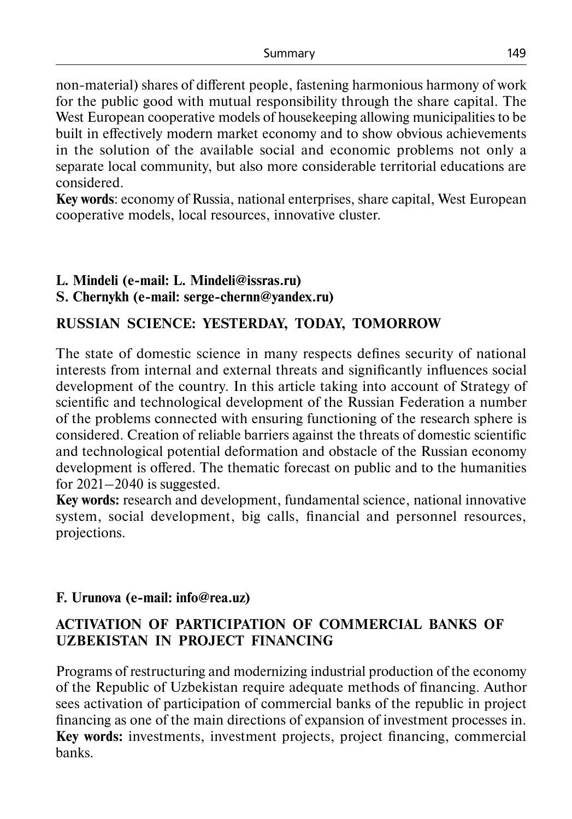non-material) shares of different people, fastening harmonious harmony of work for the public good with mutual responsibility through the share capital. The West European cooperative models of housekeeping allowing municipalities to be built in effectively modern market economy and to show obvious achievements in the solution of the available social and economic problems not only a separate local community, but also more considerable territorial educations are considered.

**Key words**: economy of Russia, national enterprises, share capital, West European cooperative models, local resources, innovative cluster.

#### **L. Mindeli (e-mail: L. Mindeli@issras.ru) S. Chernykh (e-mail: serge-chernn@yandex.ru)**

### **RUSSIAN SCIENCE: YESTERDAY, TODAY, TOMORROW**

The state of domestic science in many respects defines security of national interests from internal and external threats and significantly influences social development of the country. In this article taking into account of Strategy of scientific and technological development of the Russian Federation a number of the problems connected with ensuring functioning of the research sphere is considered. Creation of reliable barriers against the threats of domestic scientific and technological potential deformation and obstacle of the Russian economy development is offered. The thematic forecast on public and to the humanities for  $2021-2040$  is suggested.

**Key words:** research and development, fundamental science, national innovative system, social development, big calls, financial and personnel resources, projections.

### **F. Urunova (e-mail: info@rea.uz)**

# **ACTIVATION OF PARTICIPATION OF COMMERCIAL BANKS OF UZBEKISTAN IN PROJECT FINANCING**

Programs of restructuring and modernizing industrial production of the economy of the Republic of Uzbekistan require adequate methods of financing. Author sees activation of participation of commercial banks of the republic in project financing as one of the main directions of expansion of investment processes in. **Key words:** investments, investment projects, project financing, commercial banks.